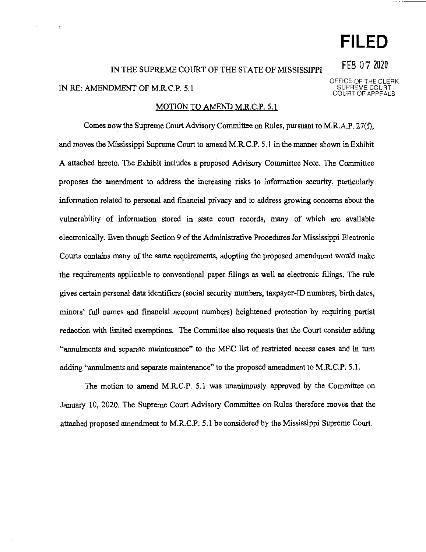# **FILED**

**FEB** O 7 2020

## IN THE SUPREME COURT OF THE STATE OF MISSISSIPPI IN RE: AMENDMENT OF M.R.C.P. 5.1

#### MOTION TO AMEND M.R.C.P. 5.1

Comes now the Supreme Court Advisory Committee on Rules, pursuant to M.R.AP. 27(f), and moves the Mississippi Supreme Court to amend M.R.C.P. 5.1 in the manner shown in Exhibit A attached hereto. The Exhibit includes a proposed Advisory Committee Note. The Committee proposes the amendment to address the increasing risks to information security, particularly information related to personal and financial privacy and to address growing concerns about the vulnerability of information stored in state court records, many of which are available electronically. Even though Section 9 of the Administrative Procedures for Mississippi Electronic Courts contains many of the same requirements, adopting the proposed amendment would make the requirements applicable to conventional paper filings as well as electronic filings. The rule gives certain personal data identifiers (social security numbers, taxpayer-ID numbers, birth dates, minors' full names and financial account numbers) heightened protection by requiring partial redaction with limited exemptions. The Committee also requests that the Court consider adding "annulments and separate maintenance" to the MEC list of restricted access cases and in turn adding "annulments and separate maintenance" to the proposed amendment to M.R.C.P. 5.1.

The motion to amend M.R.C.P. 5.1 was unanimously approved by the Committee on January 10, 2020. The Supreme Court Advisory Committee on Rules therefore moves that the attached proposed amendment to M.R.C.P. 5.1 be considered by the Mississippi Supreme Court.

/

OFFICE OF THE CLERK

SUPREME COURT COURT OF APPEALS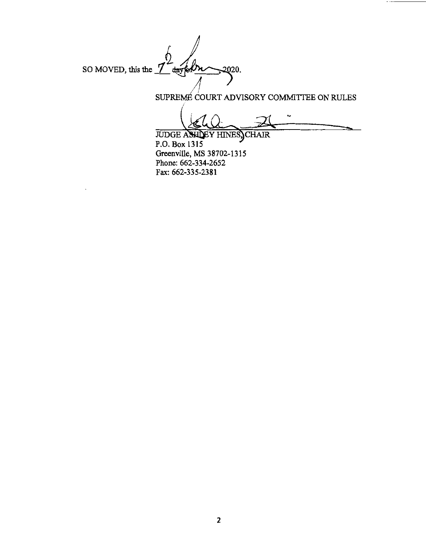SO MOVED, this the 7 dayfolk  $-2020.$ 

SUPREMÉ COURT ADVISORY COMMITTEE ON RULES

 $\overline{a}$ 

**JUDGE ASHLEY HINES, CHAIR** P.O. Box 1315 Greenville, MS 38702-1315 Phone: 662-334-2652 Fax: 662-335-2381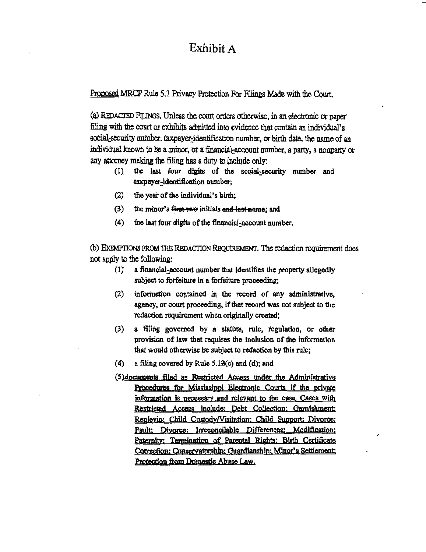### Exhibit A

Proposed MRCP Rule 5.1 Privacy Protection For Filings Made with the Court.

(a) REDACTED FILINGS. Unless the court orders otherwise, in an electronic or paper filing with the court or exhibits admitted into evidence that contain an individual's social-security number, taxpayer-identification number, or birth date, the name of an individual known to be a minor, or a financial-account number, a party, a nonparty or any attorney making the filing has a duty to include only:

- the last four digits of the social-security number and  $(1)$ taxpayer-identification number;
- (2) the year of the individual's birth;
- $(3)$ the minor's first two initials and last name; and
- (4) the last four digits of the financial-account number.

(b) EXEMPTIONS FROM THE REDACTION REQUIREMENT. The redaction requirement does not apply to the following:

- $(1)$ a financial-account number that identifies the property allegedly subject to forfeiture in a forfeiture proceeding;
- information contained in the record of any administrative,  $(2)$ agency, or court proceeding, if that record was not subject to the redaction requirement when originally created;
- (3) a filing governed by a statute, rule, regulation, or other provision of law that requires the inclusion of the information that would otherwise be subject to redaction by this rule;
- $(4)$ a filing covered by Rule  $5.12(c)$  and (d); and
- (5) documents filed as Restricted Access under the Administrative Procedures for Mississippi Electronic Courts if the private information is necessary and relevant to the case. Cases with Restricted Access include; Debt Collection; Garnishment; Replevin: Child Custody/Visitation: Child Support: Divorce: Fault: Divorce: Irreconcilable Differences: Modification; Paternity; Termination of Parental Rights; Birth Certificate Correction: Conservatorship: Guardianship: Minor's Settlement; Protection from Domestic Abuse Law,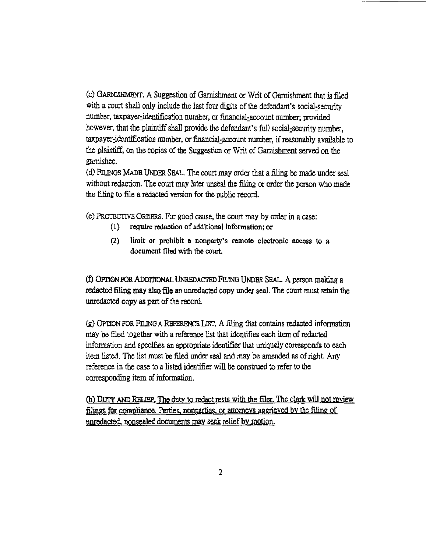(c) GARNISHMENT. A Suggestion of Garnishment or Writ of Garnishment that is filed with a court shall only include the last four digits of the defendant's social-security number, taxpayer-identification number, or financial-account number; provided however, that the plaintiff shall provide the defendant's full social-security number, taxpayer:identification number, or financial;account number, if reasonably available to the plaintiff, on the copies of the Suggestion or Writ of Garnishment served on the garnishee.

(d) FILINGS MADE UNDER SEAL. The court may order that a filing be made under seal without redaction. The court may later unseal the filing or order the person who made the filing to file a redacted version for the public record.

(e) PROTBCTJVB ORDERS. For good cause, the court may by order in a case:

- (I) require redaction of additional Information; or
- (2) limit or prohibit a nonparty's remote electronic access to a document filed with the court.

(f) OPrlON FOR ADDmoNAL UNREDACTBD FILING UNDER SEAL. A person making a redacted filing may also file an unredacted copy under seal. The court must retain the unredacted copy as part of the record.

(g) OPTION FOR FILING A REFERENCE LIST. A filing that contains redacted information may be filed together with a reference list that identifies each item of redacted information and specifies an appropriate identifier that uniquely corresponds to each item listed. The list must be filed under seal and may be amended as of right. Any reference in the case to a listed identifier will be construed to refer to the corresponding item of information.

(h) DUTY AND RELIEF. The duty to redact rests with the filer. The clerk will not review £lings for compliance. Parties. nonparties. or attorneys aggrieved by the filing of unredacted, nonsealed documents may seek relief by motion.